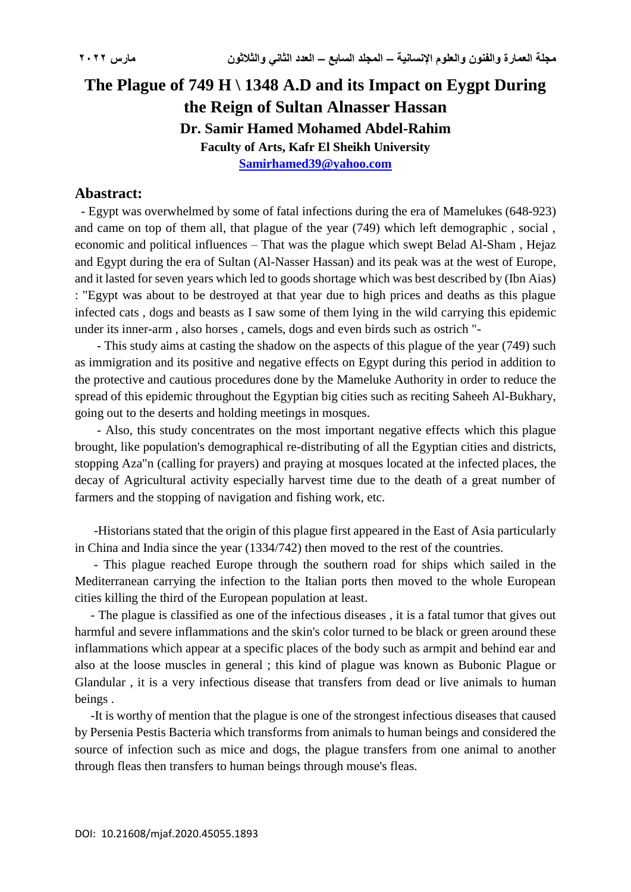## **The Plague of 749 H \ 1348 A.D and its Impact on Eygpt During the Reign of Sultan Alnasser Hassan Dr. Samir Hamed Mohamed Abdel-Rahim Faculty of Arts, Kafr El Sheikh University [Samirhamed39@yahoo.com](mailto:Samirhamed39@yahoo.com)**

## **Abastract:**

 - Egypt was overwhelmed by some of fatal infections during the era of Mamelukes (648-923) and came on top of them all, that plague of the year (749) which left demographic , social , economic and political influences – That was the plague which swept Belad Al-Sham , Hejaz and Egypt during the era of Sultan (Al-Nasser Hassan) and its peak was at the west of Europe, and it lasted for seven years which led to goods shortage which was best described by (Ibn Aias) : "Egypt was about to be destroyed at that year due to high prices and deaths as this plague infected cats , dogs and beasts as I saw some of them lying in the wild carrying this epidemic under its inner-arm , also horses , camels, dogs and even birds such as ostrich "-

 - This study aims at casting the shadow on the aspects of this plague of the year (749) such as immigration and its positive and negative effects on Egypt during this period in addition to the protective and cautious procedures done by the Mameluke Authority in order to reduce the spread of this epidemic throughout the Egyptian big cities such as reciting Saheeh Al-Bukhary, going out to the deserts and holding meetings in mosques.

 - Also, this study concentrates on the most important negative effects which this plague brought, like population's demographical re-distributing of all the Egyptian cities and districts, stopping Aza"n (calling for prayers) and praying at mosques located at the infected places, the decay of Agricultural activity especially harvest time due to the death of a great number of farmers and the stopping of navigation and fishing work, etc.

 -Historians stated that the origin of this plague first appeared in the East of Asia particularly in China and India since the year (1334/742) then moved to the rest of the countries.

 - This plague reached Europe through the southern road for ships which sailed in the Mediterranean carrying the infection to the Italian ports then moved to the whole European cities killing the third of the European population at least.

 - The plague is classified as one of the infectious diseases , it is a fatal tumor that gives out harmful and severe inflammations and the skin's color turned to be black or green around these inflammations which appear at a specific places of the body such as armpit and behind ear and also at the loose muscles in general ; this kind of plague was known as Bubonic Plague or Glandular , it is a very infectious disease that transfers from dead or live animals to human beings .

 -It is worthy of mention that the plague is one of the strongest infectious diseases that caused by Persenia Pestis Bacteria which transforms from animals to human beings and considered the source of infection such as mice and dogs, the plague transfers from one animal to another through fleas then transfers to human beings through mouse's fleas.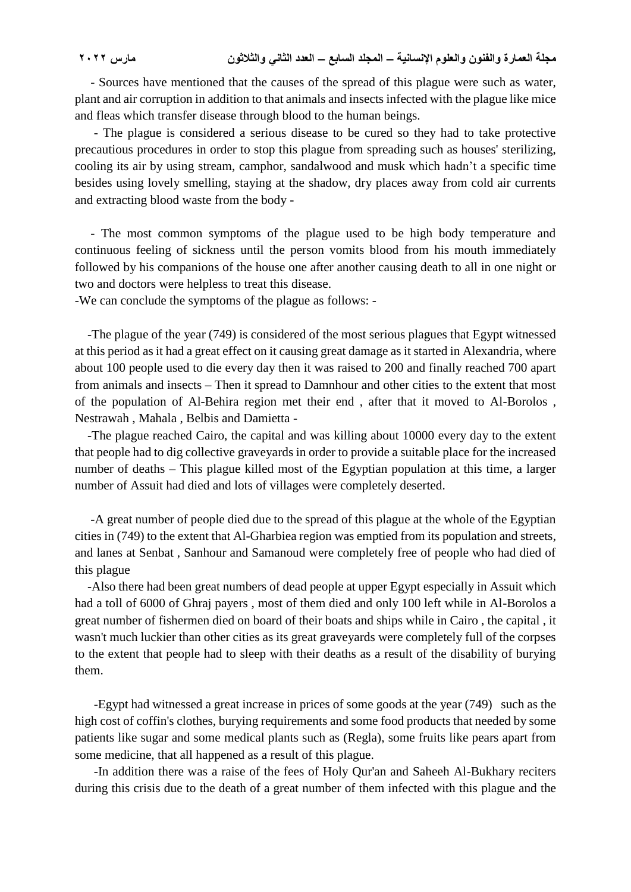- Sources have mentioned that the causes of the spread of this plague were such as water, plant and air corruption in addition to that animals and insects infected with the plague like mice and fleas which transfer disease through blood to the human beings.

 - The plague is considered a serious disease to be cured so they had to take protective precautious procedures in order to stop this plague from spreading such as houses' sterilizing, cooling its air by using stream, camphor, sandalwood and musk which hadn't a specific time besides using lovely smelling, staying at the shadow, dry places away from cold air currents and extracting blood waste from the body -

 - The most common symptoms of the plague used to be high body temperature and continuous feeling of sickness until the person vomits blood from his mouth immediately followed by his companions of the house one after another causing death to all in one night or two and doctors were helpless to treat this disease.

-We can conclude the symptoms of the plague as follows: -

 -The plague of the year (749) is considered of the most serious plagues that Egypt witnessed at this period as it had a great effect on it causing great damage as it started in Alexandria, where about 100 people used to die every day then it was raised to 200 and finally reached 700 apart from animals and insects – Then it spread to Damnhour and other cities to the extent that most of the population of Al-Behira region met their end , after that it moved to Al-Borolos , Nestrawah , Mahala , Belbis and Damietta -

 -The plague reached Cairo, the capital and was killing about 10000 every day to the extent that people had to dig collective graveyards in order to provide a suitable place for the increased number of deaths – This plague killed most of the Egyptian population at this time, a larger number of Assuit had died and lots of villages were completely deserted.

 -A great number of people died due to the spread of this plague at the whole of the Egyptian cities in (749) to the extent that Al-Gharbiea region was emptied from its population and streets, and lanes at Senbat , Sanhour and Samanoud were completely free of people who had died of this plague

 -Also there had been great numbers of dead people at upper Egypt especially in Assuit which had a toll of 6000 of Ghraj payers , most of them died and only 100 left while in Al-Borolos a great number of fishermen died on board of their boats and ships while in Cairo , the capital , it wasn't much luckier than other cities as its great graveyards were completely full of the corpses to the extent that people had to sleep with their deaths as a result of the disability of burying them.

 -Egypt had witnessed a great increase in prices of some goods at the year (749) such as the high cost of coffin's clothes, burying requirements and some food products that needed by some patients like sugar and some medical plants such as (Regla), some fruits like pears apart from some medicine, that all happened as a result of this plague.

 -In addition there was a raise of the fees of Holy Qur'an and Saheeh Al-Bukhary reciters during this crisis due to the death of a great number of them infected with this plague and the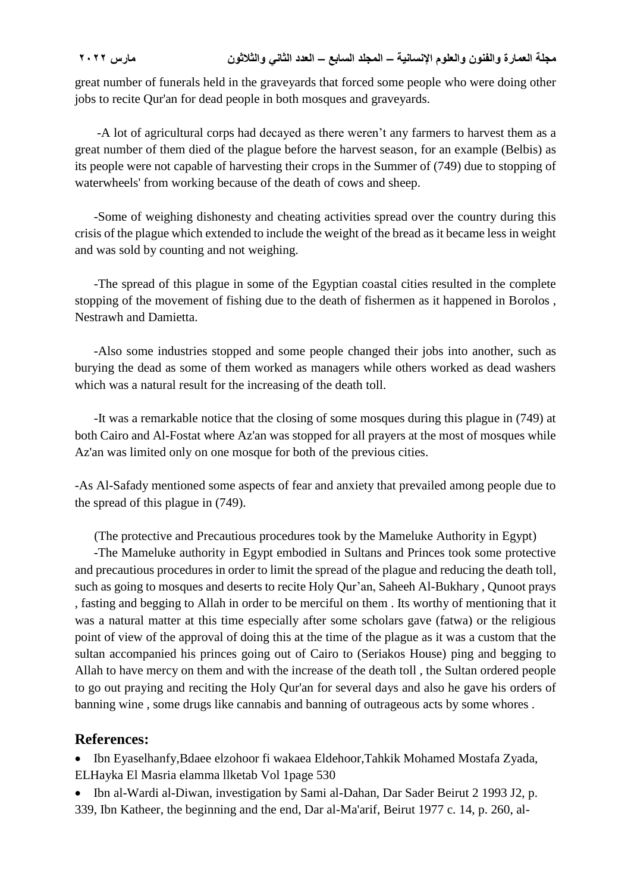## **مجلة العمارة والفنون والعلوم اإلنسانية – المجلد السابع – العدد الثاني والثالثون مارس 2022**

great number of funerals held in the graveyards that forced some people who were doing other jobs to recite Qur'an for dead people in both mosques and graveyards.

 -A lot of agricultural corps had decayed as there weren't any farmers to harvest them as a great number of them died of the plague before the harvest season, for an example (Belbis) as its people were not capable of harvesting their crops in the Summer of (749) due to stopping of waterwheels' from working because of the death of cows and sheep.

 -Some of weighing dishonesty and cheating activities spread over the country during this crisis of the plague which extended to include the weight of the bread as it became less in weight and was sold by counting and not weighing.

 -The spread of this plague in some of the Egyptian coastal cities resulted in the complete stopping of the movement of fishing due to the death of fishermen as it happened in Borolos , Nestrawh and Damietta.

 -Also some industries stopped and some people changed their jobs into another, such as burying the dead as some of them worked as managers while others worked as dead washers which was a natural result for the increasing of the death toll.

 -It was a remarkable notice that the closing of some mosques during this plague in (749) at both Cairo and Al-Fostat where Az'an was stopped for all prayers at the most of mosques while Az'an was limited only on one mosque for both of the previous cities.

-As Al-Safady mentioned some aspects of fear and anxiety that prevailed among people due to the spread of this plague in (749).

(The protective and Precautious procedures took by the Mameluke Authority in Egypt)

 -The Mameluke authority in Egypt embodied in Sultans and Princes took some protective and precautious procedures in order to limit the spread of the plague and reducing the death toll, such as going to mosques and deserts to recite Holy Qur'an, Saheeh Al-Bukhary , Qunoot prays , fasting and begging to Allah in order to be merciful on them . Its worthy of mentioning that it was a natural matter at this time especially after some scholars gave (fatwa) or the religious point of view of the approval of doing this at the time of the plague as it was a custom that the sultan accompanied his princes going out of Cairo to (Seriakos House) ping and begging to Allah to have mercy on them and with the increase of the death toll , the Sultan ordered people to go out praying and reciting the Holy Qur'an for several days and also he gave his orders of banning wine , some drugs like cannabis and banning of outrageous acts by some whores .

## **References:**

 Ibn Eyaselhanfy,Bdaee elzohoor fi wakaea Eldehoor,Tahkik Mohamed Mostafa Zyada, ELHayka El Masria elamma llketab Vol 1page 530

• Ibn al-Wardi al-Diwan, investigation by Sami al-Dahan, Dar Sader Beirut 2 1993 J2, p. 339, Ibn Katheer, the beginning and the end, Dar al-Ma'arif, Beirut 1977 c. 14, p. 260, al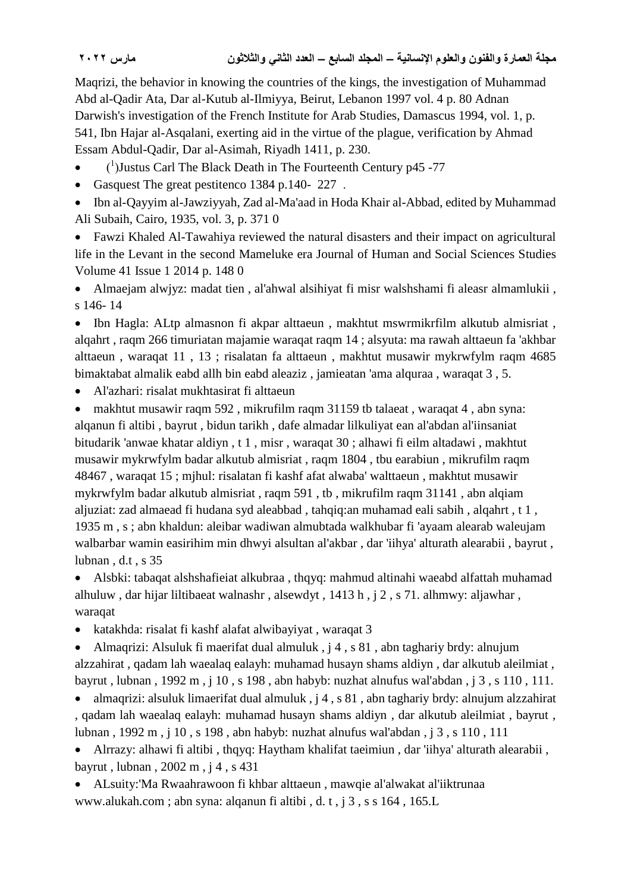Maqrizi, the behavior in knowing the countries of the kings, the investigation of Muhammad Abd al-Qadir Ata, Dar al-Kutub al-Ilmiyya, Beirut, Lebanon 1997 vol. 4 p. 80 Adnan Darwish's investigation of the French Institute for Arab Studies, Damascus 1994, vol. 1, p. 541, Ibn Hajar al-Asqalani, exerting aid in the virtue of the plague, verification by Ahmad Essam Abdul-Qadir, Dar al-Asimah, Riyadh 1411, p. 230.

- $\bullet$  (<sup>1</sup>) Justus Carl The Black Death in The Fourteenth Century p45 -77
- Gasquest The great pestitenco 1384 p.140-227.

 Ibn al-Qayyim al-Jawziyyah, Zad al-Ma'aad in Hoda Khair al-Abbad, edited by Muhammad Ali Subaih, Cairo, 1935, vol. 3, p. 371 0

 Fawzi Khaled Al-Tawahiya reviewed the natural disasters and their impact on agricultural life in the Levant in the second Mameluke era Journal of Human and Social Sciences Studies Volume 41 Issue 1 2014 p. 148 0

 Almaejam alwjyz: madat tien , al'ahwal alsihiyat fi misr walshshami fi aleasr almamlukii , s 146- 14

 Ibn Hagla: ALtp almasnon fi akpar alttaeun , makhtut mswrmikrfilm alkutub almisriat , alqahrt , raqm 266 timuriatan majamie waraqat raqm 14 ; alsyuta: ma rawah alttaeun fa 'akhbar alttaeun , waraqat 11 , 13 ; risalatan fa alttaeun , makhtut musawir mykrwfylm raqm 4685 bimaktabat almalik eabd allh bin eabd aleaziz , jamieatan 'ama alquraa , waraqat 3 , 5.

Al'azhari: risalat mukhtasirat fi alttaeun

 makhtut musawir raqm 592 , mikrufilm raqm 31159 tb talaeat , waraqat 4 , abn syna: alqanun fi altibi , bayrut , bidun tarikh , dafe almadar lilkuliyat ean al'abdan al'iinsaniat bitudarik 'anwae khatar aldiyn , t 1 , misr , waraqat 30 ; alhawi fi eilm altadawi , makhtut musawir mykrwfylm badar alkutub almisriat , raqm 1804 , tbu earabiun , mikrufilm raqm 48467 , waraqat 15 ; mjhul: risalatan fi kashf afat alwaba' walttaeun , makhtut musawir mykrwfylm badar alkutub almisriat , raqm 591 , tb , mikrufilm raqm 31141 , abn alqiam aljuziat: zad almaead fi hudana syd aleabbad , tahqiq:an muhamad eali sabih , alqahrt , t 1 , 1935 m , s ; abn khaldun: aleibar wadiwan almubtada walkhubar fi 'ayaam alearab waleujam walbarbar wamin easirihim min dhwyi alsultan al'akbar , dar 'iihya' alturath alearabii , bayrut , lubnan , d.t , s 35

 Alsbki: tabaqat alshshafieiat alkubraa , thqyq: mahmud altinahi waeabd alfattah muhamad alhuluw , dar hijar liltibaeat walnashr , alsewdyt , 1413 h , j 2 , s 71. alhmwy: aljawhar , waraqat

• katakhda: risalat fi kashf alafat alwibayiyat, waraqat 3

 Almaqrizi: Alsuluk fi maerifat dual almuluk , j 4 , s 81 , abn taghariy brdy: alnujum alzzahirat , qadam lah waealaq ealayh: muhamad husayn shams aldiyn , dar alkutub aleilmiat , bayrut , lubnan , 1992 m , j 10 , s 198 , abn habyb: nuzhat alnufus wal'abdan , j 3 , s 110 , 111.

• almaqrizi: alsuluk limaerifat dual almuluk ,  $i$  4, s 81, abn taghariy brdy: alnujum alzzahirat , qadam lah waealaq ealayh: muhamad husayn shams aldiyn , dar alkutub aleilmiat , bayrut , lubnan , 1992 m , j 10 , s 198 , abn habyb: nuzhat alnufus wal'abdan , j 3 , s 110 , 111

 Alrrazy: alhawi fi altibi , thqyq: Haytham khalifat taeimiun , dar 'iihya' alturath alearabii , bayrut , lubnan , 2002 m , j 4 , s 431

 ALsuity:'Ma Rwaahrawoon fi khbar alttaeun , mawqie al'alwakat al'iiktrunaa www.alukah.com ; abn syna: alqanun fi altibi , d. t , j 3 , s s 164 , 165.L